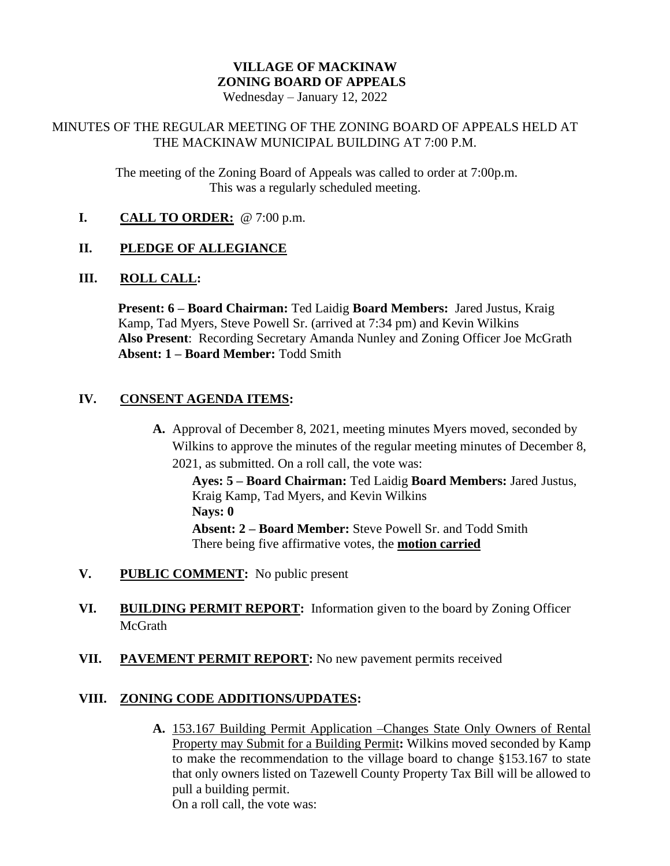# **VILLAGE OF MACKINAW ZONING BOARD OF APPEALS**

Wednesday – January 12, 2022

## MINUTES OF THE REGULAR MEETING OF THE ZONING BOARD OF APPEALS HELD AT THE MACKINAW MUNICIPAL BUILDING AT 7:00 P.M.

The meeting of the Zoning Board of Appeals was called to order at 7:00p.m. This was a regularly scheduled meeting.

**I. CALL TO ORDER:** @ 7:00 p.m.

# **II. PLEDGE OF ALLEGIANCE**

#### **III. ROLL CALL:**

**Present: 6 – Board Chairman:** Ted Laidig **Board Members:** Jared Justus, Kraig Kamp, Tad Myers, Steve Powell Sr. (arrived at 7:34 pm) and Kevin Wilkins **Also Present**: Recording Secretary Amanda Nunley and Zoning Officer Joe McGrath **Absent: 1 – Board Member:** Todd Smith

#### **IV. CONSENT AGENDA ITEMS:**

**A.** Approval of December 8, 2021, meeting minutes Myers moved, seconded by Wilkins to approve the minutes of the regular meeting minutes of December 8, 2021, as submitted. On a roll call, the vote was:

**Ayes: 5 – Board Chairman:** Ted Laidig **Board Members:** Jared Justus, Kraig Kamp, Tad Myers, and Kevin Wilkins **Nays: 0 Absent: 2 – Board Member:** Steve Powell Sr. and Todd Smith There being five affirmative votes, the **motion carried**

- **V. PUBLIC COMMENT:** No public present
- **VI. BUILDING PERMIT REPORT:** Information given to the board by Zoning Officer McGrath
- **VII. PAVEMENT PERMIT REPORT:** No new pavement permits received

#### **VIII. ZONING CODE ADDITIONS/UPDATES:**

**A.** 153.167 Building Permit Application –Changes State Only Owners of Rental Property may Submit for a Building Permit**:** Wilkins moved seconded by Kamp to make the recommendation to the village board to change §153.167 to state that only owners listed on Tazewell County Property Tax Bill will be allowed to pull a building permit. On a roll call, the vote was: